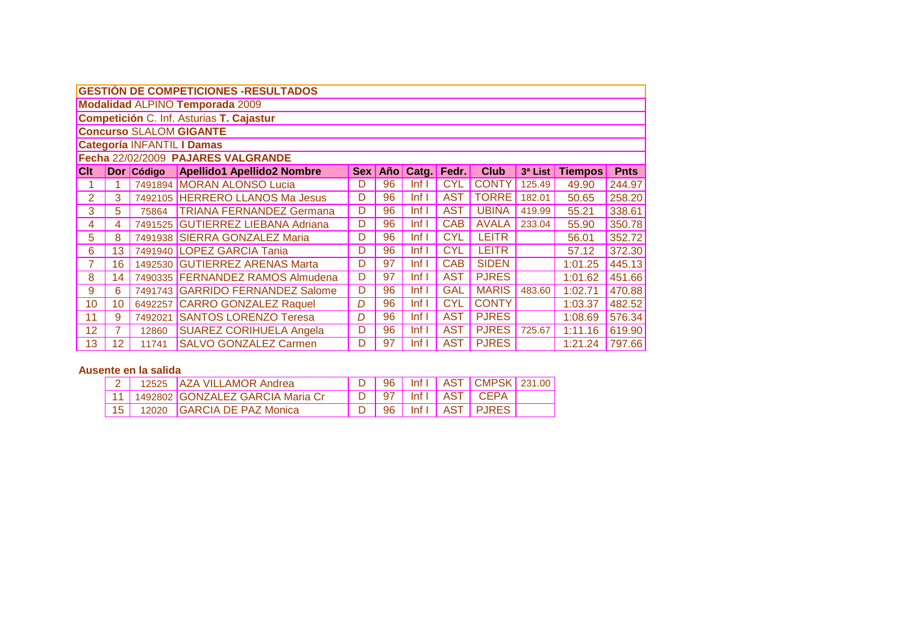| <b>GESTIÓN DE COMPETICIONES -RESULTADOS</b> |                                          |            |                                    |   |    |                     |                 |                     |         |                |             |  |  |  |
|---------------------------------------------|------------------------------------------|------------|------------------------------------|---|----|---------------------|-----------------|---------------------|---------|----------------|-------------|--|--|--|
| <b>Modalidad ALPINO Temporada 2009</b>      |                                          |            |                                    |   |    |                     |                 |                     |         |                |             |  |  |  |
|                                             | Competición C. Inf. Asturias T. Cajastur |            |                                    |   |    |                     |                 |                     |         |                |             |  |  |  |
|                                             | <b>Concurso SLALOM GIGANTE</b>           |            |                                    |   |    |                     |                 |                     |         |                |             |  |  |  |
| <b>Categoría INFANTIL I Damas</b>           |                                          |            |                                    |   |    |                     |                 |                     |         |                |             |  |  |  |
|                                             |                                          |            | Fecha 22/02/2009 PAJARES VALGRANDE |   |    |                     |                 |                     |         |                |             |  |  |  |
| C <sub>it</sub>                             |                                          | Dor Código | <b>Apellido1 Apellido2 Nombre</b>  |   |    | Sex Año Catg. Fedr. |                 | <b>Club</b>         | 3ª List | <b>Tiempos</b> | <b>Pnts</b> |  |  |  |
|                                             |                                          |            | 7491894 MORAN ALONSO Lucia         | D | 96 | Inf                 | <b>CYL</b>      | <b>CONTY</b>        | 125.49  | 49.90          | 244.97      |  |  |  |
| 2                                           | 3                                        |            | 7492105 HERRERO LLANOS Ma Jesus    | D | 96 | Inf                 | AST             | <b>TORRE</b> 182.01 |         | 50.65          | 258.20      |  |  |  |
| 3                                           | 5                                        | 75864      | <b>TRIANA FERNANDEZ Germana</b>    | D | 96 | Inf                 | <b>AST</b>      | <b>UBINA</b>        | 419.99  | 55.21          | 338.61      |  |  |  |
| 4                                           | 4                                        |            | 7491525 GUTIERREZ LIEBANA Adriana  | D | 96 | Inf                 | <b>CAB</b>      | <b>AVALA</b>        | 233.04  | 55.90          | 350.78      |  |  |  |
| 5                                           | 8                                        |            | 7491938 SIERRA GONZALEZ Maria      | D | 96 | Inf                 | <b>CYL</b>      | <b>LEITR</b>        |         | 56.01          | 352.72      |  |  |  |
| 6                                           | 13                                       |            | 7491940 LOPEZ GARCIA Tania         | D | 96 | Inf                 | <b>CYL</b>      | <b>LEITR</b>        |         | 57.12          | 372.30      |  |  |  |
| 7                                           | 16                                       |            | 1492530 GUTIERREZ ARENAS Marta     | D | 97 | Inf                 | <b>CAB</b>      | <b>SIDEN</b>        |         | 1:01.25        | 445.13      |  |  |  |
| 8                                           | 14                                       |            | 7490335 FERNANDEZ RAMOS Almudena   | D | 97 | Inf                 | <b>AST</b>      | <b>PJRES</b>        |         | 1:01.62        | 451.66      |  |  |  |
| 9                                           | 6                                        |            | 7491743 GARRIDO FERNANDEZ Salome   | D | 96 | Inf                 | <b>GAL</b>      | <b>MARIS</b>        | 483.60  | 1:02.71        | 470.88      |  |  |  |
| 10                                          | 10                                       |            | 6492257 CARRO GONZALEZ Raquel      | D | 96 | Inf                 | <b>CYL</b>      | <b>CONTY</b>        |         | 1:03.37        | 482.52      |  |  |  |
| 11                                          | 9                                        | 7492021    | <b>SANTOS LORENZO Teresa</b>       | D | 96 | Inf                 | AST             | <b>PJRES</b>        |         | 1:08.69        | 576.34      |  |  |  |
| 12                                          |                                          | 12860      | <b>SUAREZ CORIHUELA Angela</b>     | D | 96 | Inf                 | AS <sub>1</sub> | <b>PJRES</b>        | 725.67  | 1:11.16        | 619.90      |  |  |  |
| 13                                          | 12                                       | 11741      | <b>SALVO GONZALEZ Carmen</b>       | D | 97 | lnf                 | <b>AST</b>      | <b>PJRES</b>        |         | 1:21.24        | 797.66      |  |  |  |

## **Ausente en la salida**

|                 | 12525 AZA VILLAMOR Andrea             |  |  | 96   Inf I   AST   CMPSK   231.00 |  |
|-----------------|---------------------------------------|--|--|-----------------------------------|--|
|                 | 11   1492802 GONZALEZ GARCIA Maria Cr |  |  | ' 97   Inf     AST   CEPA         |  |
| 15 <sub>1</sub> | 12020 GARCIA DE PAZ Monica            |  |  | 96   Inf     AST   PJRES          |  |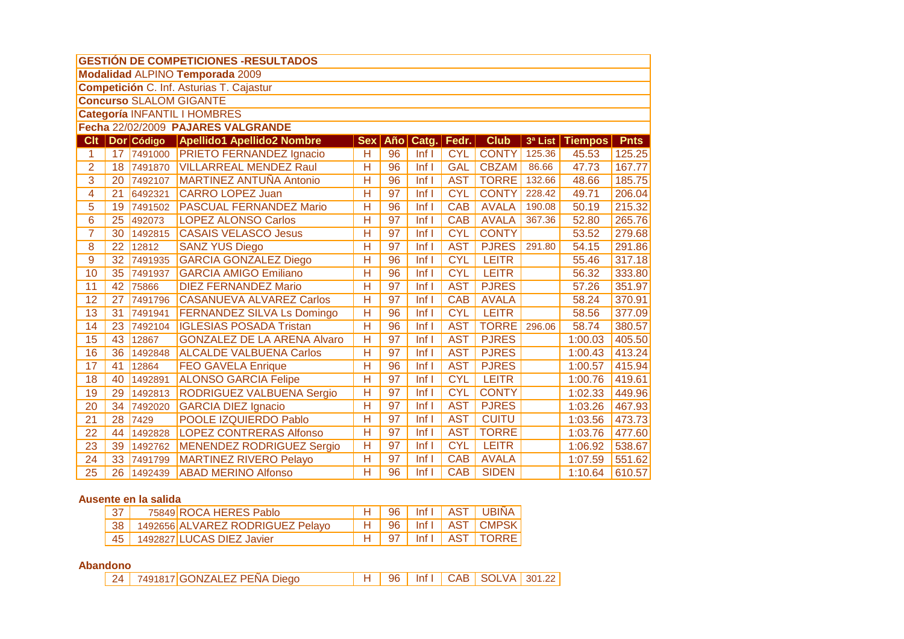| <b>GESTIÓN DE COMPETICIONES -RESULTADOS</b><br>Modalidad ALPINO Temporada 2009<br>Competición C. Inf. Asturias T. Cajastur<br><b>Concurso SLALOM GIGANTE</b><br>Categoría INFANTIL I HOMBRES<br>Fecha 22/02/2009 PAJARES VALGRANDE<br>Dor Código<br><b>Clt</b><br><b>Apellido1 Apellido2 Nombre</b><br>Año<br>Catg. Fedr.<br><b>Club</b><br><b>Tiempos</b><br><b>Sex</b><br>3ª List<br><b>Pnts</b><br><b>PRIETO FERNANDEZ Ignacio</b><br><b>CYL</b><br><b>CONTY</b><br>H<br>96<br>Inf<br>125.36<br>125.25<br>1<br>17<br>45.53<br>7491000<br><b>VILLARREAL MENDEZ Raul</b><br>$\overline{\mathsf{H}}$<br>96<br><b>GAL</b><br><b>CBZAM</b><br>$\overline{2}$<br>Inf <sub>1</sub><br>86.66<br>47.73<br>167.77<br>18<br>7491870<br>3<br>$\overline{\mathsf{H}}$<br>96<br><b>AST</b><br><b>TORRE</b><br>132.66<br><b>MARTINEZ ANTUÑA Antonio</b><br>Inf <sub>1</sub><br>20<br>48.66<br>185.75<br>7492107<br>$\overline{\mathsf{H}}$<br><b>CYL</b><br>4<br>$\overline{97}$<br>lnf<br><b>CONTY</b><br>228.42<br>206.04<br>21<br><b>CARRO LOPEZ Juan</b><br>49.71<br>6492321<br>$\overline{\mathsf{H}}$<br>96<br>lnf<br><b>CAB</b><br><b>AVALA</b><br>5<br>190.08<br>215.32<br><b>PASCUAL FERNANDEZ Mario</b><br>50.19<br>19<br>7491502<br>$\overline{\mathsf{H}}$<br>$\overline{97}$<br>lnf<br><b>AVALA</b><br>6<br><b>LOPEZ ALONSO Carlos</b><br><b>CAB</b><br>367.36<br>25<br>52.80<br>265.76<br>492073<br>$\overline{\mathsf{H}}$<br><b>CYL</b><br><b>CONTY</b><br>$\overline{7}$<br><b>CASAIS VELASCO Jesus</b><br>97<br>Inf<br>279.68<br>30<br>1492815<br>53.52<br>$\overline{\mathsf{H}}$<br>$\overline{97}$<br>lnf<br><b>AST</b><br><b>PJRES</b><br>291.80<br>8<br><b>SANZ YUS Diego</b><br>291.86<br>22<br>54.15<br>12812<br><b>GARCIA GONZALEZ Diego</b><br>96<br><b>CYL</b><br><b>LEITR</b><br>9<br>$\overline{\mathsf{H}}$<br>lnf<br>317.18<br>32<br>7491935<br>55.46<br>10<br>$\overline{\mathsf{H}}$<br><b>CYL</b><br><b>GARCIA AMIGO Emiliano</b><br>96<br>Inf<br><b>LEITR</b><br>56.32<br>333.80<br>35<br>7491937<br>$\overline{11}$<br><b>DIEZ FERNANDEZ Mario</b><br>$\overline{\mathsf{H}}$<br>97<br>lnf<br><b>AST</b><br><b>PJRES</b><br>351.97<br>42<br>57.26<br>75866<br>12<br><b>CASANUEVA ALVAREZ Carlos</b><br>Н<br>97<br>Inf <sub>1</sub><br><b>CAB</b><br><b>AVALA</b><br>58.24<br>370.91<br>27<br>7491796<br>$\overline{13}$<br><b>FERNANDEZ SILVA Ls Domingo</b><br>$\overline{\mathsf{H}}$<br>96<br><b>CYL</b><br><b>LEITR</b><br>Inf<br>58.56<br>377.09<br>31<br>7491941<br>$\overline{\mathsf{H}}$<br>14<br><b>IGLESIAS POSADA Tristan</b><br>96<br>lnf<br><b>AST</b><br><b>TORRE</b><br>380.57<br>23<br>296.06<br>58.74<br>7492104<br>15<br><b>GONZALEZ DE LA ARENA Alvaro</b><br>$\overline{\mathsf{H}}$<br>$\overline{97}$<br>lnf<br><b>AST</b><br><b>PJRES</b><br>405.50<br>43<br>1:00.03<br>12867<br>16<br><b>ALCALDE VALBUENA Carlos</b><br>H<br>97<br><b>AST</b><br><b>PJRES</b><br>413.24<br>36<br>Inf <sub>1</sub><br>1:00.43<br>1492848<br>$\overline{\mathsf{H}}$<br>17<br><b>FEO GAVELA Enrique</b><br>96<br><b>AST</b><br><b>PJRES</b><br>415.94<br>41<br>12864<br>Inf<br>1:00.57 |
|------------------------------------------------------------------------------------------------------------------------------------------------------------------------------------------------------------------------------------------------------------------------------------------------------------------------------------------------------------------------------------------------------------------------------------------------------------------------------------------------------------------------------------------------------------------------------------------------------------------------------------------------------------------------------------------------------------------------------------------------------------------------------------------------------------------------------------------------------------------------------------------------------------------------------------------------------------------------------------------------------------------------------------------------------------------------------------------------------------------------------------------------------------------------------------------------------------------------------------------------------------------------------------------------------------------------------------------------------------------------------------------------------------------------------------------------------------------------------------------------------------------------------------------------------------------------------------------------------------------------------------------------------------------------------------------------------------------------------------------------------------------------------------------------------------------------------------------------------------------------------------------------------------------------------------------------------------------------------------------------------------------------------------------------------------------------------------------------------------------------------------------------------------------------------------------------------------------------------------------------------------------------------------------------------------------------------------------------------------------------------------------------------------------------------------------------------------------------------------------------------------------------------------------------------------------------------------------------------------------------------------------------------------------------------------------------------------------------------------------------------------------------------------------------------------------------------------------------------------------------------------------------------------------------------------------------------------------------------------------------------------------------------------------------------------------------------------------------------------------------|
|                                                                                                                                                                                                                                                                                                                                                                                                                                                                                                                                                                                                                                                                                                                                                                                                                                                                                                                                                                                                                                                                                                                                                                                                                                                                                                                                                                                                                                                                                                                                                                                                                                                                                                                                                                                                                                                                                                                                                                                                                                                                                                                                                                                                                                                                                                                                                                                                                                                                                                                                                                                                                                                                                                                                                                                                                                                                                                                                                                                                                                                                                                                        |
|                                                                                                                                                                                                                                                                                                                                                                                                                                                                                                                                                                                                                                                                                                                                                                                                                                                                                                                                                                                                                                                                                                                                                                                                                                                                                                                                                                                                                                                                                                                                                                                                                                                                                                                                                                                                                                                                                                                                                                                                                                                                                                                                                                                                                                                                                                                                                                                                                                                                                                                                                                                                                                                                                                                                                                                                                                                                                                                                                                                                                                                                                                                        |
|                                                                                                                                                                                                                                                                                                                                                                                                                                                                                                                                                                                                                                                                                                                                                                                                                                                                                                                                                                                                                                                                                                                                                                                                                                                                                                                                                                                                                                                                                                                                                                                                                                                                                                                                                                                                                                                                                                                                                                                                                                                                                                                                                                                                                                                                                                                                                                                                                                                                                                                                                                                                                                                                                                                                                                                                                                                                                                                                                                                                                                                                                                                        |
|                                                                                                                                                                                                                                                                                                                                                                                                                                                                                                                                                                                                                                                                                                                                                                                                                                                                                                                                                                                                                                                                                                                                                                                                                                                                                                                                                                                                                                                                                                                                                                                                                                                                                                                                                                                                                                                                                                                                                                                                                                                                                                                                                                                                                                                                                                                                                                                                                                                                                                                                                                                                                                                                                                                                                                                                                                                                                                                                                                                                                                                                                                                        |
|                                                                                                                                                                                                                                                                                                                                                                                                                                                                                                                                                                                                                                                                                                                                                                                                                                                                                                                                                                                                                                                                                                                                                                                                                                                                                                                                                                                                                                                                                                                                                                                                                                                                                                                                                                                                                                                                                                                                                                                                                                                                                                                                                                                                                                                                                                                                                                                                                                                                                                                                                                                                                                                                                                                                                                                                                                                                                                                                                                                                                                                                                                                        |
|                                                                                                                                                                                                                                                                                                                                                                                                                                                                                                                                                                                                                                                                                                                                                                                                                                                                                                                                                                                                                                                                                                                                                                                                                                                                                                                                                                                                                                                                                                                                                                                                                                                                                                                                                                                                                                                                                                                                                                                                                                                                                                                                                                                                                                                                                                                                                                                                                                                                                                                                                                                                                                                                                                                                                                                                                                                                                                                                                                                                                                                                                                                        |
|                                                                                                                                                                                                                                                                                                                                                                                                                                                                                                                                                                                                                                                                                                                                                                                                                                                                                                                                                                                                                                                                                                                                                                                                                                                                                                                                                                                                                                                                                                                                                                                                                                                                                                                                                                                                                                                                                                                                                                                                                                                                                                                                                                                                                                                                                                                                                                                                                                                                                                                                                                                                                                                                                                                                                                                                                                                                                                                                                                                                                                                                                                                        |
|                                                                                                                                                                                                                                                                                                                                                                                                                                                                                                                                                                                                                                                                                                                                                                                                                                                                                                                                                                                                                                                                                                                                                                                                                                                                                                                                                                                                                                                                                                                                                                                                                                                                                                                                                                                                                                                                                                                                                                                                                                                                                                                                                                                                                                                                                                                                                                                                                                                                                                                                                                                                                                                                                                                                                                                                                                                                                                                                                                                                                                                                                                                        |
|                                                                                                                                                                                                                                                                                                                                                                                                                                                                                                                                                                                                                                                                                                                                                                                                                                                                                                                                                                                                                                                                                                                                                                                                                                                                                                                                                                                                                                                                                                                                                                                                                                                                                                                                                                                                                                                                                                                                                                                                                                                                                                                                                                                                                                                                                                                                                                                                                                                                                                                                                                                                                                                                                                                                                                                                                                                                                                                                                                                                                                                                                                                        |
|                                                                                                                                                                                                                                                                                                                                                                                                                                                                                                                                                                                                                                                                                                                                                                                                                                                                                                                                                                                                                                                                                                                                                                                                                                                                                                                                                                                                                                                                                                                                                                                                                                                                                                                                                                                                                                                                                                                                                                                                                                                                                                                                                                                                                                                                                                                                                                                                                                                                                                                                                                                                                                                                                                                                                                                                                                                                                                                                                                                                                                                                                                                        |
|                                                                                                                                                                                                                                                                                                                                                                                                                                                                                                                                                                                                                                                                                                                                                                                                                                                                                                                                                                                                                                                                                                                                                                                                                                                                                                                                                                                                                                                                                                                                                                                                                                                                                                                                                                                                                                                                                                                                                                                                                                                                                                                                                                                                                                                                                                                                                                                                                                                                                                                                                                                                                                                                                                                                                                                                                                                                                                                                                                                                                                                                                                                        |
|                                                                                                                                                                                                                                                                                                                                                                                                                                                                                                                                                                                                                                                                                                                                                                                                                                                                                                                                                                                                                                                                                                                                                                                                                                                                                                                                                                                                                                                                                                                                                                                                                                                                                                                                                                                                                                                                                                                                                                                                                                                                                                                                                                                                                                                                                                                                                                                                                                                                                                                                                                                                                                                                                                                                                                                                                                                                                                                                                                                                                                                                                                                        |
|                                                                                                                                                                                                                                                                                                                                                                                                                                                                                                                                                                                                                                                                                                                                                                                                                                                                                                                                                                                                                                                                                                                                                                                                                                                                                                                                                                                                                                                                                                                                                                                                                                                                                                                                                                                                                                                                                                                                                                                                                                                                                                                                                                                                                                                                                                                                                                                                                                                                                                                                                                                                                                                                                                                                                                                                                                                                                                                                                                                                                                                                                                                        |
|                                                                                                                                                                                                                                                                                                                                                                                                                                                                                                                                                                                                                                                                                                                                                                                                                                                                                                                                                                                                                                                                                                                                                                                                                                                                                                                                                                                                                                                                                                                                                                                                                                                                                                                                                                                                                                                                                                                                                                                                                                                                                                                                                                                                                                                                                                                                                                                                                                                                                                                                                                                                                                                                                                                                                                                                                                                                                                                                                                                                                                                                                                                        |
|                                                                                                                                                                                                                                                                                                                                                                                                                                                                                                                                                                                                                                                                                                                                                                                                                                                                                                                                                                                                                                                                                                                                                                                                                                                                                                                                                                                                                                                                                                                                                                                                                                                                                                                                                                                                                                                                                                                                                                                                                                                                                                                                                                                                                                                                                                                                                                                                                                                                                                                                                                                                                                                                                                                                                                                                                                                                                                                                                                                                                                                                                                                        |
|                                                                                                                                                                                                                                                                                                                                                                                                                                                                                                                                                                                                                                                                                                                                                                                                                                                                                                                                                                                                                                                                                                                                                                                                                                                                                                                                                                                                                                                                                                                                                                                                                                                                                                                                                                                                                                                                                                                                                                                                                                                                                                                                                                                                                                                                                                                                                                                                                                                                                                                                                                                                                                                                                                                                                                                                                                                                                                                                                                                                                                                                                                                        |
|                                                                                                                                                                                                                                                                                                                                                                                                                                                                                                                                                                                                                                                                                                                                                                                                                                                                                                                                                                                                                                                                                                                                                                                                                                                                                                                                                                                                                                                                                                                                                                                                                                                                                                                                                                                                                                                                                                                                                                                                                                                                                                                                                                                                                                                                                                                                                                                                                                                                                                                                                                                                                                                                                                                                                                                                                                                                                                                                                                                                                                                                                                                        |
|                                                                                                                                                                                                                                                                                                                                                                                                                                                                                                                                                                                                                                                                                                                                                                                                                                                                                                                                                                                                                                                                                                                                                                                                                                                                                                                                                                                                                                                                                                                                                                                                                                                                                                                                                                                                                                                                                                                                                                                                                                                                                                                                                                                                                                                                                                                                                                                                                                                                                                                                                                                                                                                                                                                                                                                                                                                                                                                                                                                                                                                                                                                        |
|                                                                                                                                                                                                                                                                                                                                                                                                                                                                                                                                                                                                                                                                                                                                                                                                                                                                                                                                                                                                                                                                                                                                                                                                                                                                                                                                                                                                                                                                                                                                                                                                                                                                                                                                                                                                                                                                                                                                                                                                                                                                                                                                                                                                                                                                                                                                                                                                                                                                                                                                                                                                                                                                                                                                                                                                                                                                                                                                                                                                                                                                                                                        |
|                                                                                                                                                                                                                                                                                                                                                                                                                                                                                                                                                                                                                                                                                                                                                                                                                                                                                                                                                                                                                                                                                                                                                                                                                                                                                                                                                                                                                                                                                                                                                                                                                                                                                                                                                                                                                                                                                                                                                                                                                                                                                                                                                                                                                                                                                                                                                                                                                                                                                                                                                                                                                                                                                                                                                                                                                                                                                                                                                                                                                                                                                                                        |
|                                                                                                                                                                                                                                                                                                                                                                                                                                                                                                                                                                                                                                                                                                                                                                                                                                                                                                                                                                                                                                                                                                                                                                                                                                                                                                                                                                                                                                                                                                                                                                                                                                                                                                                                                                                                                                                                                                                                                                                                                                                                                                                                                                                                                                                                                                                                                                                                                                                                                                                                                                                                                                                                                                                                                                                                                                                                                                                                                                                                                                                                                                                        |
|                                                                                                                                                                                                                                                                                                                                                                                                                                                                                                                                                                                                                                                                                                                                                                                                                                                                                                                                                                                                                                                                                                                                                                                                                                                                                                                                                                                                                                                                                                                                                                                                                                                                                                                                                                                                                                                                                                                                                                                                                                                                                                                                                                                                                                                                                                                                                                                                                                                                                                                                                                                                                                                                                                                                                                                                                                                                                                                                                                                                                                                                                                                        |
|                                                                                                                                                                                                                                                                                                                                                                                                                                                                                                                                                                                                                                                                                                                                                                                                                                                                                                                                                                                                                                                                                                                                                                                                                                                                                                                                                                                                                                                                                                                                                                                                                                                                                                                                                                                                                                                                                                                                                                                                                                                                                                                                                                                                                                                                                                                                                                                                                                                                                                                                                                                                                                                                                                                                                                                                                                                                                                                                                                                                                                                                                                                        |
| $\overline{18}$<br>$\overline{\mathsf{H}}$<br><b>CYL</b><br><b>ALONSO GARCIA Felipe</b><br>97<br>Inf <sub>1</sub><br><b>LEITR</b><br>419.61<br>1492891<br>1:00.76<br>40                                                                                                                                                                                                                                                                                                                                                                                                                                                                                                                                                                                                                                                                                                                                                                                                                                                                                                                                                                                                                                                                                                                                                                                                                                                                                                                                                                                                                                                                                                                                                                                                                                                                                                                                                                                                                                                                                                                                                                                                                                                                                                                                                                                                                                                                                                                                                                                                                                                                                                                                                                                                                                                                                                                                                                                                                                                                                                                                                |
| H<br>97<br><b>CYL</b><br>19<br>RODRIGUEZ VALBUENA Sergio<br>Inf <sub>1</sub><br><b>CONTY</b><br>449.96<br>29<br>1492813<br>1:02.33                                                                                                                                                                                                                                                                                                                                                                                                                                                                                                                                                                                                                                                                                                                                                                                                                                                                                                                                                                                                                                                                                                                                                                                                                                                                                                                                                                                                                                                                                                                                                                                                                                                                                                                                                                                                                                                                                                                                                                                                                                                                                                                                                                                                                                                                                                                                                                                                                                                                                                                                                                                                                                                                                                                                                                                                                                                                                                                                                                                     |
| $\overline{\mathsf{H}}$<br><b>AST</b><br><b>PJRES</b><br>97<br>Inf<br>20<br><b>GARCIA DIEZ Ignacio</b><br>467.93<br>34<br>1:03.26<br>7492020                                                                                                                                                                                                                                                                                                                                                                                                                                                                                                                                                                                                                                                                                                                                                                                                                                                                                                                                                                                                                                                                                                                                                                                                                                                                                                                                                                                                                                                                                                                                                                                                                                                                                                                                                                                                                                                                                                                                                                                                                                                                                                                                                                                                                                                                                                                                                                                                                                                                                                                                                                                                                                                                                                                                                                                                                                                                                                                                                                           |
| $\overline{\sf H}$<br>97<br>lnf<br><b>AST</b><br><b>CUITU</b><br>21<br>POOLE IZQUIERDO Pablo<br>473.73<br>28<br>1:03.56<br>7429                                                                                                                                                                                                                                                                                                                                                                                                                                                                                                                                                                                                                                                                                                                                                                                                                                                                                                                                                                                                                                                                                                                                                                                                                                                                                                                                                                                                                                                                                                                                                                                                                                                                                                                                                                                                                                                                                                                                                                                                                                                                                                                                                                                                                                                                                                                                                                                                                                                                                                                                                                                                                                                                                                                                                                                                                                                                                                                                                                                        |
| $\overline{\mathsf{H}}$<br><b>TORRE</b><br>97<br>Inf <sub>1</sub><br><b>AST</b><br>22<br><b>LOPEZ CONTRERAS Alfonso</b><br>1:03.76<br>477.60<br>44<br>1492828                                                                                                                                                                                                                                                                                                                                                                                                                                                                                                                                                                                                                                                                                                                                                                                                                                                                                                                                                                                                                                                                                                                                                                                                                                                                                                                                                                                                                                                                                                                                                                                                                                                                                                                                                                                                                                                                                                                                                                                                                                                                                                                                                                                                                                                                                                                                                                                                                                                                                                                                                                                                                                                                                                                                                                                                                                                                                                                                                          |
| <b>CYL</b><br><b>MENENDEZ RODRIGUEZ Sergio</b><br>Н<br>97<br>Inf<br><b>LEITR</b><br>23<br>1:06.92<br>538.67<br>39<br>1492762                                                                                                                                                                                                                                                                                                                                                                                                                                                                                                                                                                                                                                                                                                                                                                                                                                                                                                                                                                                                                                                                                                                                                                                                                                                                                                                                                                                                                                                                                                                                                                                                                                                                                                                                                                                                                                                                                                                                                                                                                                                                                                                                                                                                                                                                                                                                                                                                                                                                                                                                                                                                                                                                                                                                                                                                                                                                                                                                                                                           |
| $\overline{\mathsf{H}}$<br>lnf<br><b>CAB</b><br><b>AVALA</b><br>24<br><b>MARTINEZ RIVERO Pelayo</b><br>97<br>1:07.59<br>551.62<br>33<br>7491799                                                                                                                                                                                                                                                                                                                                                                                                                                                                                                                                                                                                                                                                                                                                                                                                                                                                                                                                                                                                                                                                                                                                                                                                                                                                                                                                                                                                                                                                                                                                                                                                                                                                                                                                                                                                                                                                                                                                                                                                                                                                                                                                                                                                                                                                                                                                                                                                                                                                                                                                                                                                                                                                                                                                                                                                                                                                                                                                                                        |
| Η<br>96<br>lnf<br><b>CAB</b><br><b>SIDEN</b><br>25<br><b>ABAD MERINO Alfonso</b><br>610.57<br>26<br>1:10.64<br>1492439                                                                                                                                                                                                                                                                                                                                                                                                                                                                                                                                                                                                                                                                                                                                                                                                                                                                                                                                                                                                                                                                                                                                                                                                                                                                                                                                                                                                                                                                                                                                                                                                                                                                                                                                                                                                                                                                                                                                                                                                                                                                                                                                                                                                                                                                                                                                                                                                                                                                                                                                                                                                                                                                                                                                                                                                                                                                                                                                                                                                 |

## **Ausente en la salida**

|  | 37 75849 ROCA HERES Pablo           |  |  |                              |
|--|-------------------------------------|--|--|------------------------------|
|  | 38 1492656 ALVAREZ RODRIGUEZ Pelayo |  |  | H 96   Inf I   AST CMPSK     |
|  | 45   1492827 LUCAS DIEZ Javier      |  |  | H   97   Inf I   AST   TORRE |

## **Abandono**

|  |  | 24 7491817 GONZALEZ PEÑA Diego |  |  |  |  | H 96   Inf   CAB   SOLVA   301.22 |  |
|--|--|--------------------------------|--|--|--|--|-----------------------------------|--|
|--|--|--------------------------------|--|--|--|--|-----------------------------------|--|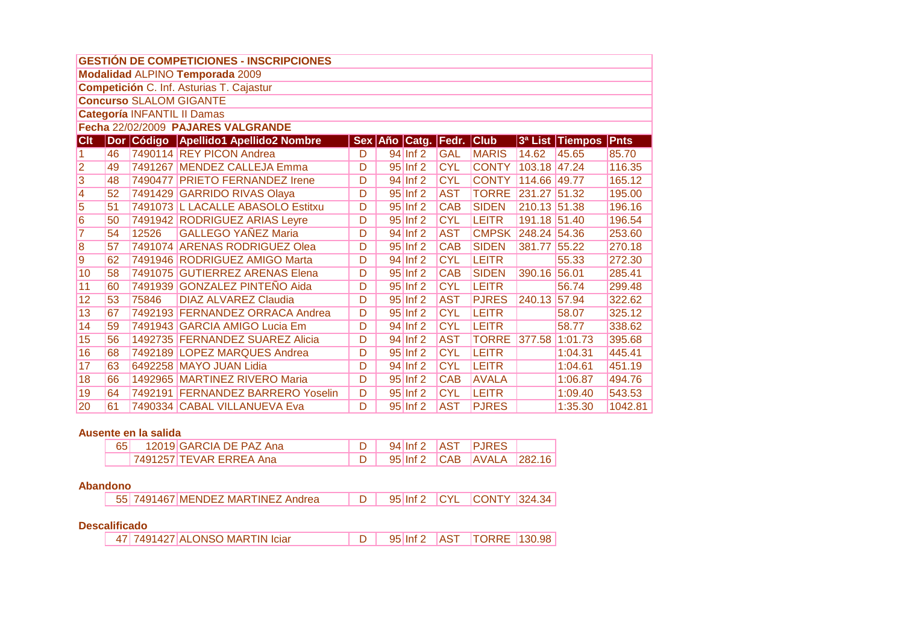| <b>GESTIÓN DE COMPETICIONES - INSCRIPCIONES</b> |                                    |       |                                       |                         |  |                       |                          |              |              |                      |         |  |  |  |
|-------------------------------------------------|------------------------------------|-------|---------------------------------------|-------------------------|--|-----------------------|--------------------------|--------------|--------------|----------------------|---------|--|--|--|
| Modalidad ALPINO Temporada 2009                 |                                    |       |                                       |                         |  |                       |                          |              |              |                      |         |  |  |  |
| Competición C. Inf. Asturias T. Cajastur        |                                    |       |                                       |                         |  |                       |                          |              |              |                      |         |  |  |  |
|                                                 | <b>Concurso SLALOM GIGANTE</b>     |       |                                       |                         |  |                       |                          |              |              |                      |         |  |  |  |
|                                                 | <b>Categoría INFANTIL II Damas</b> |       |                                       |                         |  |                       |                          |              |              |                      |         |  |  |  |
| Fecha 22/02/2009 PAJARES VALGRANDE              |                                    |       |                                       |                         |  |                       |                          |              |              |                      |         |  |  |  |
| <b>Clt</b>                                      |                                    |       | Dor Código Apellido1 Apellido2 Nombre |                         |  |                       | Sex Año Catg. Fedr. Club |              |              | 3ª List Tiempos Pnts |         |  |  |  |
| $\overline{1}$                                  | 46                                 |       | 7490114 REY PICON Andrea              | D                       |  | $94$ Inf 2            | <b>GAL</b>               | <b>MARIS</b> | 14.62        | 45.65                | 85.70   |  |  |  |
| $\overline{2}$                                  | 49                                 |       | 7491267 MENDEZ CALLEJA Emma           | D                       |  | $95$ Inf 2            | <b>CYL</b>               | <b>CONTY</b> | 103.18 47.24 |                      | 116.35  |  |  |  |
| $\overline{3}$                                  | 48                                 |       | 7490477 PRIETO FERNANDEZ Irene        | D                       |  | $94$ Inf 2            | <b>CYL</b>               | <b>CONTY</b> | 114.66 49.77 |                      | 165.12  |  |  |  |
| $\overline{\mathbf{4}}$                         | 52                                 |       | 7491429 GARRIDO RIVAS Olaya           | D                       |  | $95$ Inf 2            | <b>AST</b>               | <b>TORRE</b> | 231.27 51.32 |                      | 195.00  |  |  |  |
| 5                                               | 51                                 |       | 7491073 L LACALLE ABASOLO Estitxu     | D                       |  | $95$ Inf 2            | <b>CAB</b>               | <b>SIDEN</b> | 210.13 51.38 |                      | 196.16  |  |  |  |
| $\overline{6}$                                  | 50                                 |       | 7491942 RODRIGUEZ ARIAS Leyre         | D                       |  | $95$ Inf 2            | <b>CYL</b>               | <b>LEITR</b> | 191.18 51.40 |                      | 196.54  |  |  |  |
| $\overline{7}$                                  | 54                                 | 12526 | <b>GALLEGO YAÑEZ Maria</b>            | D                       |  | $94$ Inf 2            | <b>AST</b>               | <b>CMPSK</b> | 248.24 54.36 |                      | 253.60  |  |  |  |
| 8                                               | 57                                 |       | 7491074 ARENAS RODRIGUEZ Olea         | D                       |  | $95$ Inf 2            | <b>CAB</b>               | <b>SIDEN</b> | 381.77       | 55.22                | 270.18  |  |  |  |
| 9                                               | 62                                 |       | 7491946 RODRIGUEZ AMIGO Marta         | $\overline{\mathsf{D}}$ |  | 94 Inf 2              | <b>CYL</b>               | <b>LEITR</b> |              | 55.33                | 272.30  |  |  |  |
| 10                                              | $\overline{58}$                    |       | 7491075 GUTIERREZ ARENAS Elena        | D                       |  | $95$ Inf 2            | <b>CAB</b>               | <b>SIDEN</b> | 390.16       | 56.01                | 285.41  |  |  |  |
| 11                                              | 60                                 |       | 7491939 GONZALEZ PINTEÑO Aida         | D                       |  | 95 Inf 2              | <b>CYL</b>               | <b>LEITR</b> |              | 56.74                | 299.48  |  |  |  |
| 12                                              | 53                                 | 75846 | <b>DIAZ ALVAREZ Claudia</b>           | D                       |  | $95$ Inf 2            | <b>AST</b>               | <b>PJRES</b> | 240.13       | 57.94                | 322.62  |  |  |  |
| 13                                              | 67                                 |       | 7492193 FERNANDEZ ORRACA Andrea       | D                       |  | $95$ Inf 2            | <b>CYL</b>               | <b>LEITR</b> |              | 58.07                | 325.12  |  |  |  |
| 14                                              | 59                                 |       | 7491943 GARCIA AMIGO Lucia Em         | D                       |  | 94 Inf 2              | <b>CYL</b>               | <b>LEITR</b> |              | 58.77                | 338.62  |  |  |  |
| 15                                              | 56                                 |       | 1492735 FERNANDEZ SUAREZ Alicia       | D                       |  | $94$ Inf 2            | <b>AST</b>               | <b>TORRE</b> | 377.58       | 1:01.73              | 395.68  |  |  |  |
| 16                                              | 68                                 |       | 7492189 LOPEZ MARQUES Andrea          | D                       |  | $95$ Inf 2            | <b>CYL</b>               | <b>LEITR</b> |              | 1:04.31              | 445.41  |  |  |  |
| 17                                              | 63                                 |       | 6492258 MAYO JUAN Lidia               | D                       |  | $\overline{94}$ Inf 2 | <b>CYL</b>               | <b>LEITR</b> |              | 1:04.61              | 451.19  |  |  |  |
| 18                                              | 66                                 |       | 1492965 MARTINEZ RIVERO Maria         | D                       |  | $95$ Inf 2            | <b>CAB</b>               | <b>AVALA</b> |              | 1:06.87              | 494.76  |  |  |  |
| 19                                              | 64                                 |       | 7492191 FERNANDEZ BARRERO Yoselin     | D                       |  | $95$ Inf 2            | <b>CYL</b>               | <b>LEITR</b> |              | 1:09.40              | 543.53  |  |  |  |
| 20                                              | 61                                 |       | 7490334 CABAL VILLANUEVA Eva          | D                       |  | $95$ Inf 2            | <b>AST</b>               | <b>PJRES</b> |              | 1:35.30              | 1042.81 |  |  |  |

## Ausente en la salida

|  | 12019IGARCIA DE PAZ Ana  |  |  | D 94 Inf 2 AST PJRES          |  |
|--|--------------------------|--|--|-------------------------------|--|
|  | ⊺7491257 TEVAR ERREA Ana |  |  | D   95 Inf 2 CAB AVALA 282.16 |  |

## **Abandono**

# **Descalificado**

47 7491427 ALONSO MARTIN Iciar  $\overline{D}$ 95 Inf 2 AST **TORRE** 130.98